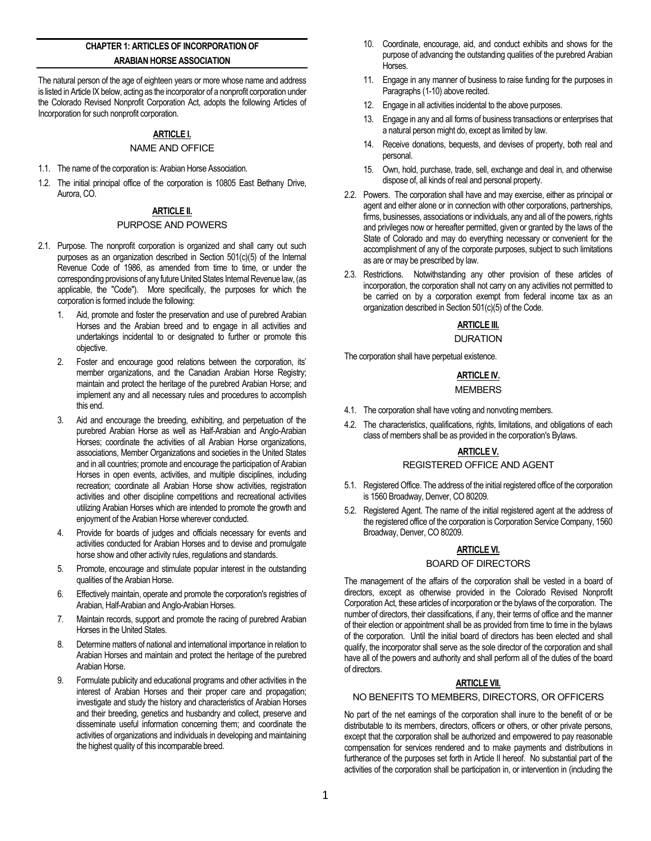# **CHAPTER 1: ARTICLES OF INCORPORATION OF ARABIAN HORSE ASSOCIATION**

The natural person of the age of eighteen years or more whose name and address is listed in Article IX below, acting as the incorporator of a nonprofit corporation under the Colorado Revised Nonprofit Corporation Act, adopts the following Articles of Incorporation for such nonprofit corporation.

## **ARTICLE I.**

## NAME AND OFFICE

- 1.1. The name of the corporation is: Arabian Horse Association.
- 1.2. The initial principal office of the corporation is 10805 East Bethany Drive, Aurora, CO.

# **ARTICLE II.**

#### PURPOSE AND POWERS

- 2.1. Purpose. The nonprofit corporation is organized and shall carry out such purposes as an organization described in Section 501(c)(5) of the Internal Revenue Code of 1986, as amended from time to time, or under the corresponding provisions of any future United States Internal Revenue law, (as applicable, the "Code"). More specifically, the purposes for which the corporation is formed include the following:
	- 1. Aid, promote and foster the preservation and use of purebred Arabian Horses and the Arabian breed and to engage in all activities and undertakings incidental to or designated to further or promote this objective.
	- 2. Foster and encourage good relations between the corporation, its' member organizations, and the Canadian Arabian Horse Registry; maintain and protect the heritage of the purebred Arabian Horse; and implement any and all necessary rules and procedures to accomplish this end.
	- 3. Aid and encourage the breeding, exhibiting, and perpetuation of the purebred Arabian Horse as well as Half-Arabian and Anglo-Arabian Horses; coordinate the activities of all Arabian Horse organizations, associations, Member Organizations and societies in the United States and in all countries; promote and encourage the participation of Arabian Horses in open events, activities, and multiple disciplines, including recreation; coordinate all Arabian Horse show activities, registration activities and other discipline competitions and recreational activities utilizing Arabian Horses which are intended to promote the growth and enjoyment of the Arabian Horse wherever conducted.
	- Provide for boards of judges and officials necessary for events and activities conducted for Arabian Horses and to devise and promulgate horse show and other activity rules, regulations and standards.
	- 5. Promote, encourage and stimulate popular interest in the outstanding qualities of the Arabian Horse.
	- 6. Effectively maintain, operate and promote the corporation's registries of Arabian, Half-Arabian and Anglo-Arabian Horses.
	- 7. Maintain records, support and promote the racing of purebred Arabian Horses in the United States.
	- 8. Determine matters of national and international importance in relation to Arabian Horses and maintain and protect the heritage of the purebred Arabian Horse.
	- 9. Formulate publicity and educational programs and other activities in the interest of Arabian Horses and their proper care and propagation; investigate and study the history and characteristics of Arabian Horses and their breeding, genetics and husbandry and collect, preserve and disseminate useful information concerning them; and coordinate the activities of organizations and individuals in developing and maintaining the highest quality of this incomparable breed.
- 10. Coordinate, encourage, aid, and conduct exhibits and shows for the purpose of advancing the outstanding qualities of the purebred Arabian Horses.
- 11. Engage in any manner of business to raise funding for the purposes in Paragraphs (1-10) above recited.
- 12. Engage in all activities incidental to the above purposes.
- 13. Engage in any and all forms of business transactions or enterprises that a natural person might do, except as limited by law.
- 14. Receive donations, bequests, and devises of property, both real and personal.
- 15. Own, hold, purchase, trade, sell, exchange and deal in, and otherwise dispose of, all kinds of real and personal property.
- 2.2. Powers. The corporation shall have and may exercise, either as principal or agent and either alone or in connection with other corporations, partnerships, firms, businesses, associations or individuals, any and all of the powers, rights and privileges now or hereafter permitted, given or granted by the laws of the State of Colorado and may do everything necessary or convenient for the accomplishment of any of the corporate purposes, subject to such limitations as are or may be prescribed by law.
- 2.3. Restrictions. Notwithstanding any other provision of these articles of incorporation, the corporation shall not carry on any activities not permitted to be carried on by a corporation exempt from federal income tax as an organization described in Section 501(c)(5) of the Code.

### **ARTICLE III.**

#### DURATION

The corporation shall have perpetual existence.

### **ARTICLE IV.**

### MEMBERS

- 4.1. The corporation shall have voting and nonvoting members.
- 4.2. The characteristics, qualifications, rights, limitations, and obligations of each class of members shall be as provided in the corporation's Bylaws.

# **ARTICLE V.**

### REGISTERED OFFICE AND AGENT

- 5.1. Registered Office. The address of the initial registered office of the corporation is 1560 Broadway, Denver, CO 80209.
- 5.2. Registered Agent. The name of the initial registered agent at the address of the registered office of the corporation is Corporation Service Company, 1560 Broadway, Denver, CO 80209.

### **ARTICLE VI.**

### BOARD OF DIRECTORS

The management of the affairs of the corporation shall be vested in a board of directors, except as otherwise provided in the Colorado Revised Nonprofit Corporation Act, these articles of incorporation or the bylaws of the corporation. The number of directors, their classifications, if any, their terms of office and the manner of their election or appointment shall be as provided from time to time in the bylaws of the corporation. Until the initial board of directors has been elected and shall qualify, the incorporator shall serve as the sole director of the corporation and shall have all of the powers and authority and shall perform all of the duties of the board of directors.

# **ARTICLE VII.**

#### NO BENEFITS TO MEMBERS, DIRECTORS, OR OFFICERS

No part of the net earnings of the corporation shall inure to the benefit of or be distributable to its members, directors, officers or others, or other private persons, except that the corporation shall be authorized and empowered to pay reasonable compensation for services rendered and to make payments and distributions in furtherance of the purposes set forth in Article II hereof. No substantial part of the activities of the corporation shall be participation in, or intervention in (including the